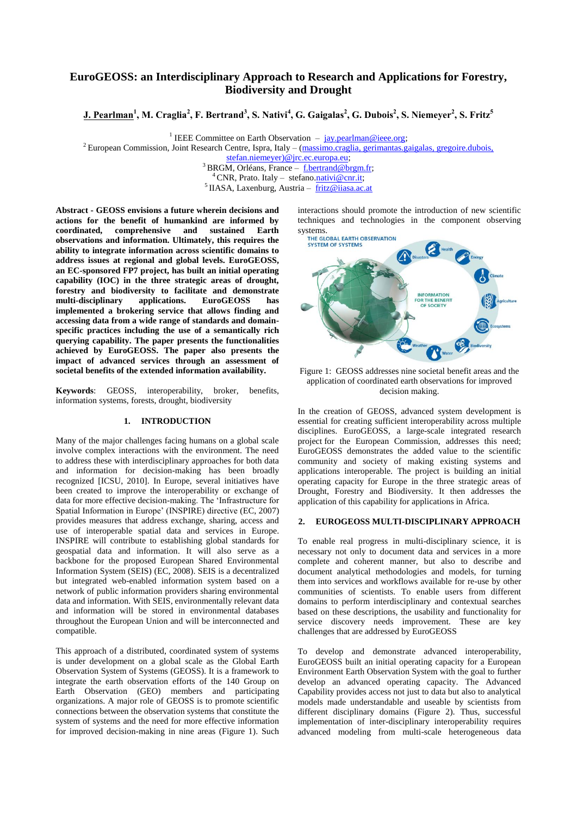# **EuroGEOSS: an Interdisciplinary Approach to Research and Applications for Forestry, Biodiversity and Drought**

**J. Pearlman<sup>1</sup> , M. Craglia<sup>2</sup> , F. Bertrand<sup>3</sup> , S. Nativi<sup>4</sup> , G. Gaigalas<sup>2</sup> , G. Dubois<sup>2</sup> , S. Niemeyer<sup>2</sup> , S. Fritz<sup>5</sup>**

<sup>1</sup> IEEE Committee on Earth Observation  $-$  [jay.pearlman@ieee.org;](mailto:jay.pearlman@ieee.org)

<sup>2</sup> European Commission, Joint Research Centre, Ispra, Italy – (massimo.craglia, gerimantas.gaigalas, gregoire.dubois,

[stefan.niemeyer\)@jrc.ec.europa.eu;](mailto:massimo.craglia@jrc.ec.europa.eu)

<sup>3</sup> BRGM, Orléans, France – [f.bertrand@brgm.fr;](mailto:f.bertrand@brgm.fr) <sup>4</sup> CNR, Prato. Italy – stefano[.nativi@cnr.it;](mailto:nativi@imaa.cnr.it)

 $<sup>5</sup>$ IIASA, Laxenburg, Austria – [fritz@iiasa.ac.at](mailto:fritz@iiasa.ac.at)</sup>

**Abstract - GEOSS envisions a future wherein decisions and actions for the benefit of humankind are informed by coordinated, comprehensive and sustained Earth observations and information. Ultimately, this requires the ability to integrate information across scientific domains to address issues at regional and global levels. EuroGEOSS, an EC-sponsored FP7 project, has built an initial operating capability (IOC) in the three strategic areas of drought, forestry and biodiversity to facilitate and demonstrate multi-disciplinary applications. EuroGEOSS has implemented a brokering service that allows finding and accessing data from a wide range of standards and domainspecific practices including the use of a semantically rich querying capability. The paper presents the functionalities achieved by EuroGEOSS. The paper also presents the impact of advanced services through an assessment of societal benefits of the extended information availability.**

**Keywords**: GEOSS, interoperability, broker, benefits, information systems, forests, drought, biodiversity

#### **1. INTRODUCTION**

Many of the major challenges facing humans on a global scale involve complex interactions with the environment. The need to address these with interdisciplinary approaches for both data and information for decision-making has been broadly recognized [ICSU, 2010]. In Europe, several initiatives have been created to improve the interoperability or exchange of data for more effective decision-making. The "Infrastructure for Spatial Information in Europe' (INSPIRE) directive (EC, 2007) provides measures that address exchange, sharing, access and use of interoperable spatial data and services in Europe. INSPIRE will contribute to establishing global standards for geospatial data and information. It will also serve as a backbone for the proposed European Shared Environmental Information System (SEIS) (EC, 2008). SEIS is a decentralized but integrated web-enabled information system based on a network of public information providers sharing environmental data and information. With SEIS, environmentally relevant data and information will be stored in environmental databases throughout the European Union and will be interconnected and compatible.

This approach of a distributed, coordinated system of systems is under development on a global scale as the Global Earth Observation System of Systems (GEOSS). It is a framework to integrate the earth observation efforts of the 140 Group on Earth Observation (GEO) members and participating organizations. A major role of GEOSS is to promote scientific connections between the observation systems that constitute the system of systems and the need for more effective information for improved decision-making in nine areas (Figure 1). Such interactions should promote the introduction of new scientific techniques and technologies in the component observing



Figure 1: GEOSS addresses nine societal benefit areas and the application of coordinated earth observations for improved decision making.

In the creation of GEOSS, advanced system development is essential for creating sufficient interoperability across multiple disciplines. EuroGEOSS, a large-scale integrated research project for the European Commission, addresses this need; EuroGEOSS demonstrates the added value to the scientific community and society of making existing systems and applications interoperable. The project is building an initial operating capacity for Europe in the three strategic areas of Drought, Forestry and Biodiversity. It then addresses the application of this capability for applications in Africa.

### **2. EUROGEOSS MULTI-DISCIPLINARY APPROACH**

To enable real progress in multi-disciplinary science, it is necessary not only to document data and services in a more complete and coherent manner, but also to describe and document analytical methodologies and models, for turning them into services and workflows available for re-use by other communities of scientists. To enable users from different domains to perform interdisciplinary and contextual searches based on these descriptions, the usability and functionality for service discovery needs improvement. These are key challenges that are addressed by EuroGEOSS

To develop and demonstrate advanced interoperability, EuroGEOSS built an initial operating capacity for a European Environment Earth Observation System with the goal to further develop an advanced operating capacity. The Advanced Capability provides access not just to data but also to analytical models made understandable and useable by scientists from different disciplinary domains (Figure 2). Thus, successful implementation of inter-disciplinary interoperability requires advanced modeling from multi-scale heterogeneous data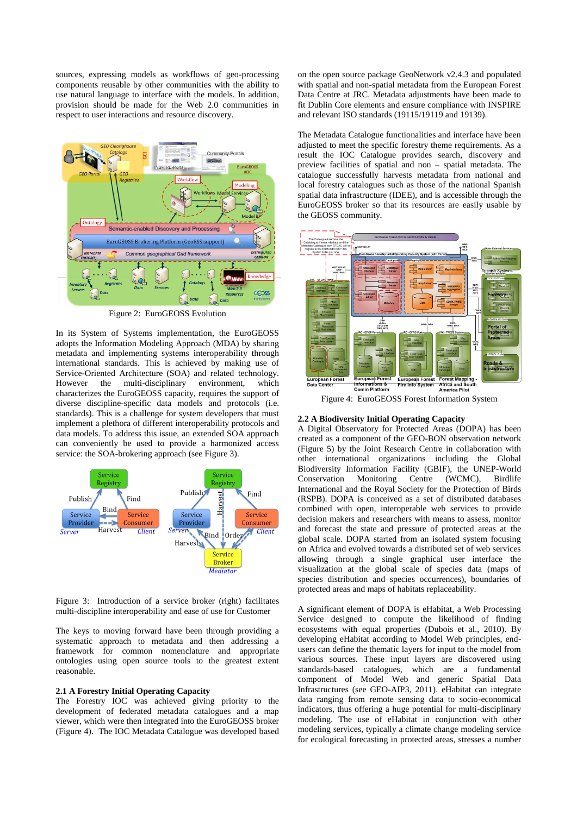sources, expressing models as workflows of geo-processing components reusable by other communities with the ability to use natural language to interface with the models. In addition, provision should be made for the Web 2.0 communities in respect to user interactions and resource discovery.



Figure 2: EuroGEOSS Evolution

In its System of Systems implementation, the EuroGEOSS adopts the Information Modeling Approach (MDA) by sharing metadata and implementing systems interoperability through international standards. This is achieved by making use of Service-Oriented Architecture (SOA) and related technology.<br>However the multi-disciplinary environment. which However the multi-disciplinary environment, characterizes the EuroGEOSS capacity, requires the support of diverse discipline-specific data models and protocols (i.e. standards). This is a challenge for system developers that must implement a plethora of different interoperability protocols and data models. To address this issue, an extended SOA approach can conveniently be used to provide a harmonized access service: the SOA-brokering approach (see Figure 3).



Figure 3: Introduction of a service broker (right) facilitates multi-discipline interoperability and ease of use for Customer

The keys to moving forward have been through providing a systematic approach to metadata and then addressing a framework for common nomenclature and appropriate ontologies using open source tools to the greatest extent reasonable.

# **2.1 A Forestry Initial Operating Capacity**

The Forestry IOC was achieved giving priority to the development of federated metadata catalogues and a map viewer, which were then integrated into the EuroGEOSS broker (Figure 4). The IOC Metadata Catalogue was developed based on the open source package GeoNetwork v2.4.3 and populated with spatial and non-spatial metadata from the European Forest Data Centre at JRC. Metadata adjustments have been made to fit Dublin Core elements and ensure compliance with INSPIRE and relevant ISO standards (19115/19119 and 19139).

The Metadata Catalogue functionalities and interface have been adjusted to meet the specific forestry theme requirements. As a result the IOC Catalogue provides search, discovery and preview facilities of spatial and non – spatial metadata. The catalogue successfully harvests metadata from national and local forestry catalogues such as those of the national Spanish spatial data infrastructure (IDEE), and is accessible through the EuroGEOSS broker so that its resources are easily usable by the GEOSS community.



Figure 4: EuroGEOSS Forest Information System

### **2.2 A Biodiversity Initial Operating Capacity**

A Digital Observatory for Protected Areas (DOPA) has been created as a component of the GEO-BON observation network (Figure 5) by the Joint Research Centre in collaboration with other international organizations including the Global Biodiversity Information Facility (GBIF), the UNEP-World Conservation Monitoring Centre (WCMC), Birdlife International and the Royal Society for the Protection of Birds (RSPB). DOPA is conceived as a set of distributed databases combined with open, interoperable web services to provide decision makers and researchers with means to assess, monitor and forecast the state and pressure of protected areas at the global scale. DOPA started from an isolated system focusing on Africa and evolved towards a distributed set of web services allowing through a single graphical user interface the visualization at the global scale of species data (maps of species distribution and species occurrences), boundaries of protected areas and maps of habitats replaceability.

A significant element of DOPA is eHabitat, a Web Processing Service designed to compute the likelihood of finding ecosystems with equal properties (Dubois et al., 2010). By developing eHabitat according to Model Web principles, endusers can define the thematic layers for input to the model from various sources. These input layers are discovered using standards-based catalogues, which are a fundamental component of Model Web and generic Spatial Data Infrastructures (see GEO-AIP3, 2011). eHabitat can integrate data ranging from remote sensing data to socio-economical indicators, thus offering a huge potential for multi-disciplinary modeling. The use of eHabitat in conjunction with other modeling services, typically a climate change modeling service for ecological forecasting in protected areas, stresses a number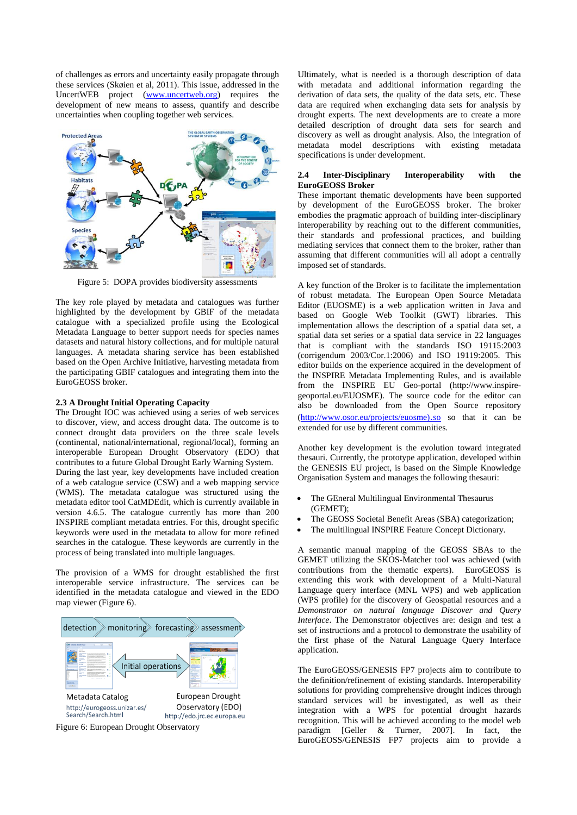of challenges as errors and uncertainty easily propagate through these services (Skøien et al, 2011). This issue, addressed in the UncertWEB project [\(www.uncertweb.org\)](http://www.uncertweb.org/) requires the development of new means to assess, quantify and describe uncertainties when coupling together web services.



Figure 5: DOPA provides biodiversity assessments

The key role played by metadata and catalogues was further highlighted by the development by GBIF of the metadata catalogue with a specialized profile using the Ecological Metadata Language to better support needs for species names datasets and natural history collections, and for multiple natural languages. A metadata sharing service has been established based on the Open Archive Initiative, harvesting metadata from the participating GBIF catalogues and integrating them into the EuroGEOSS broker.

## **2.3 A Drought Initial Operating Capacity**

The Drought IOC was achieved using a series of web services to discover, view, and access drought data. The outcome is to connect drought data providers on the three scale levels (continental, national/international, regional/local), forming an interoperable European Drought Observatory (EDO) that contributes to a future Global Drought Early Warning System. During the last year, key developments have included creation of a web catalogue service (CSW) and a web mapping service (WMS). The metadata catalogue was structured using the metadata editor tool CatMDEdit, which is currently available in version 4.6.5. The catalogue currently has more than 200 INSPIRE compliant metadata entries. For this, drought specific keywords were used in the metadata to allow for more refined searches in the catalogue. These keywords are currently in the process of being translated into multiple languages.

The provision of a WMS for drought established the first interoperable service infrastructure. The services can be identified in the metadata catalogue and viewed in the EDO map viewer (Figure 6).



Figure 6: European Drought Observatory

Ultimately, what is needed is a thorough description of data with metadata and additional information regarding the derivation of data sets, the quality of the data sets, etc. These data are required when exchanging data sets for analysis by drought experts. The next developments are to create a more detailed description of drought data sets for search and discovery as well as drought analysis. Also, the integration of metadata model descriptions with existing metadata specifications is under development.

## **2.4 Inter-Disciplinary Interoperability with the EuroGEOSS Broker**

These important thematic developments have been supported by development of the EuroGEOSS broker. The broker embodies the pragmatic approach of building inter-disciplinary interoperability by reaching out to the different communities, their standards and professional practices, and building mediating services that connect them to the broker, rather than assuming that different communities will all adopt a centrally imposed set of standards.

A key function of the Broker is to facilitate the implementation of robust metadata. The European Open Source Metadata Editor (EUOSME) is a web application written in Java and based on Google Web Toolkit (GWT) libraries. This implementation allows the description of a spatial data set, a spatial data set series or a spatial data service in 22 languages that is compliant with the standards ISO 19115:2003 (corrigendum 2003/Cor.1:2006) and ISO 19119:2005. This editor builds on the experience acquired in the development of the INSPIRE Metadata Implementing Rules, and is available from the INSPIRE EU Geo-portal (http://www.inspiregeoportal.eu/EUOSME). The source code for the editor can also be downloaded from the Open Source repository [\(http://www.osor.eu/projects/euosme\)](http://www.osor.eu/projects/euosme).so).so so that it can be extended for use by different communities.

Another key development is the evolution toward integrated thesauri. Currently, the prototype application, developed within the GENESIS EU project, is based on the Simple Knowledge Organisation System and manages the following thesauri:

- The GEneral Multilingual Environmental Thesaurus (GEMET);
- The GEOSS Societal Benefit Areas (SBA) categorization;
- The multilingual INSPIRE Feature Concept Dictionary.

A semantic manual mapping of the GEOSS SBAs to the GEMET utilizing the SKOS-Matcher tool was achieved (with contributions from the thematic experts). EuroGEOSS is extending this work with development of a Multi-Natural Language query interface (MNL WPS) and web application (WPS profile) for the discovery of Geospatial resources and a *Demonstrator on natural language Discover and Query Interface*. The Demonstrator objectives are: design and test a set of instructions and a protocol to demonstrate the usability of the first phase of the Natural Language Query Interface application.

The EuroGEOSS/GENESIS FP7 projects aim to contribute to the definition/refinement of existing standards. Interoperability solutions for providing comprehensive drought indices through standard services will be investigated, as well as their integration with a WPS for potential drought hazards recognition. This will be achieved according to the model web paradigm [Geller & Turner, 2007]. In fact, the EuroGEOSS/GENESIS FP7 projects aim to provide a